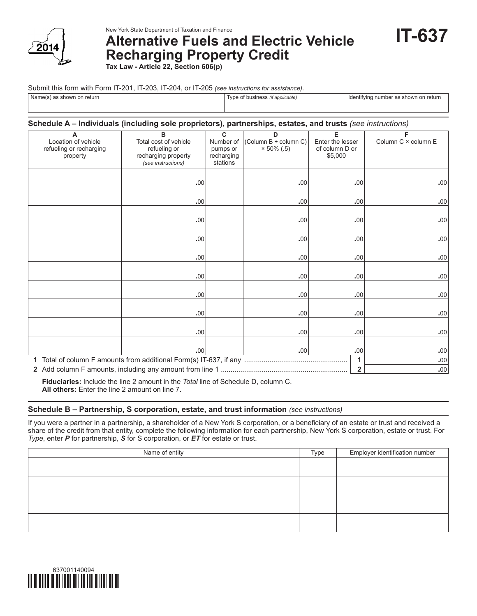

New York State Department of Taxation and Finance

**Alternative Fuels and Electric Vehicle Recharging Property Credit Tax Law - Article 22, Section 606(p)**

**IT-637**

Submit this form with Form IT-201, IT-203, IT-204, or IT-205 *(see instructions for assistance)*.

| Name(s) as shown on return | e of business <i>(if applicable)</i> | l Identifying number as shown on return |
|----------------------------|--------------------------------------|-----------------------------------------|
|                            |                                      |                                         |

## **Schedule A – Individuals (including sole proprietors), partnerships, estates, and trusts** *(see instructions)*

|                         | B                     | $\overline{c}$ | D                     |                  | F                   |
|-------------------------|-----------------------|----------------|-----------------------|------------------|---------------------|
| A                       |                       |                |                       | Е                |                     |
| Location of vehicle     | Total cost of vehicle | Number of      | (Column B ÷ column C) | Enter the lesser | Column C × column E |
| refueling or recharging | refueling or          | pumps or       | $× 50\%$ (.5)         | of column D or   |                     |
| property                | recharging property   | recharging     |                       | \$5,000          |                     |
|                         | (see instructions)    | stations       |                       |                  |                     |
|                         |                       |                |                       |                  |                     |
|                         | .00                   |                | .00                   | .00              | .00                 |
|                         |                       |                |                       |                  |                     |
|                         |                       |                |                       |                  |                     |
|                         | .00                   |                | .00                   | .00              | .00                 |
|                         |                       |                |                       |                  |                     |
|                         | .00                   |                | .00                   | .00              | .00                 |
|                         |                       |                |                       |                  |                     |
|                         | .00                   |                | .00                   | .00              | .00                 |
|                         |                       |                |                       |                  |                     |
|                         |                       |                |                       |                  |                     |
|                         | .00                   |                | .00                   | .00              | .00                 |
|                         |                       |                |                       |                  |                     |
|                         | .00                   |                | .00                   | .00              | .00                 |
|                         |                       |                |                       |                  |                     |
|                         | .00                   |                | .00                   | .00              | $.00$               |
|                         |                       |                |                       |                  |                     |
|                         |                       |                |                       |                  |                     |
|                         | .00                   |                | .00                   | .00              | .00                 |
|                         |                       |                |                       |                  |                     |
|                         | .00                   |                | .00                   | .00              | .00                 |
|                         |                       |                |                       |                  |                     |
|                         | .00                   |                | $.00 \,$              |                  |                     |
|                         |                       |                |                       | .00              | .00                 |
|                         | 1                     | $.00$          |                       |                  |                     |
|                         | $\overline{2}$        | .00            |                       |                  |                     |

**Fiduciaries:** Include the line 2 amount in the *Total* line of Schedule D, column C. **All others:** Enter the line 2 amount on line 7.

# **Schedule B – Partnership, S corporation, estate, and trust information** *(see instructions)*

If you were a partner in a partnership, a shareholder of a New York S corporation, or a beneficiary of an estate or trust and received a share of the credit from that entity, complete the following information for each partnership, New York S corporation, estate or trust. For *Type*, enter *P* for partnership, *S* for S corporation, or *ET* for estate or trust.

| Name of entity | Type | Employer identification number |
|----------------|------|--------------------------------|
|                |      |                                |
|                |      |                                |
|                |      |                                |
|                |      |                                |
|                |      |                                |
|                |      |                                |
|                |      |                                |
|                |      |                                |